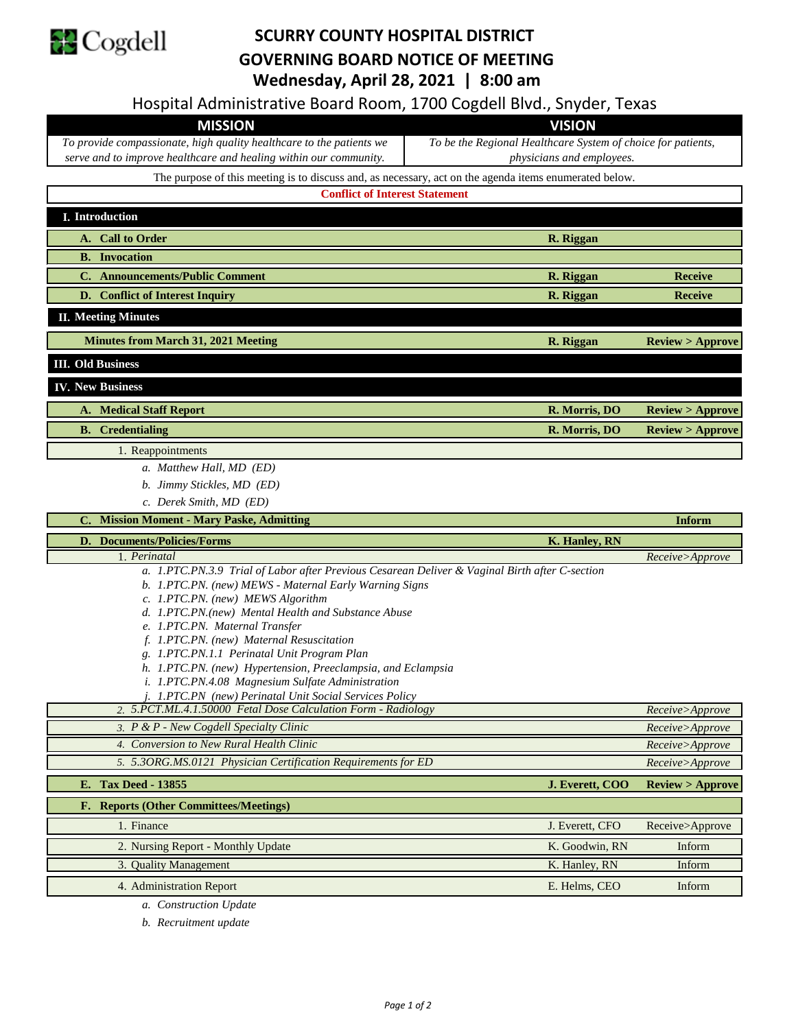

## **SCURRY COUNTY HOSPITAL DISTRICT GOVERNING BOARD NOTICE OF MEETING Wednesday, April 28, 2021 | 8:00 am**

Hospital Administrative Board Room, 1700 Cogdell Blvd., Snyder, Texas

*a. Construction Update*

*b. Recruitment update*